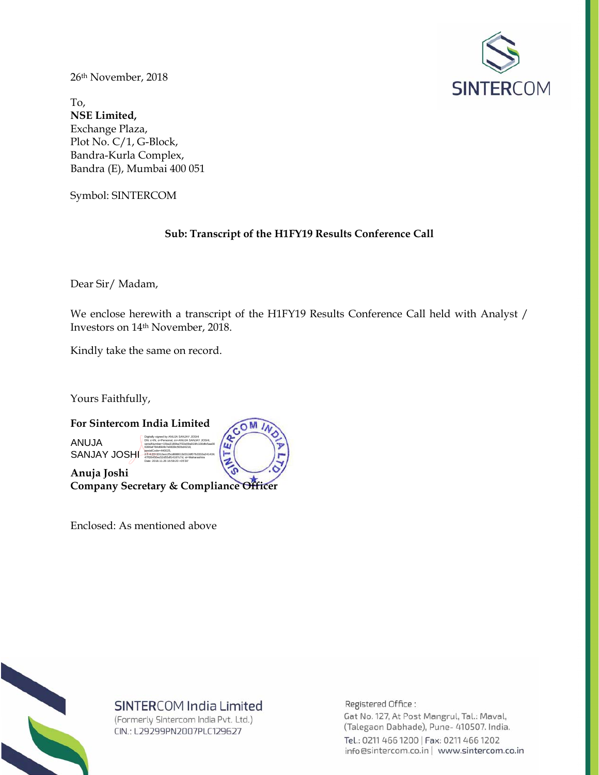

26th November, 2018

To, **NSE Limited,**  Exchange Plaza, Plot No. C/1, G-Block, Bandra-Kurla Complex, Bandra (E), Mumbai 400 051

Symbol: SINTERCOM

## **Sub: Transcript of the H1FY19 Results Conference Call**

Dear Sir/ Madam,

We enclose herewith a transcript of the H1FY19 Results Conference Call held with Analyst / Investors on 14th November, 2018.

Kindly take the same on record.

Yours Faithfully,



Enclosed: As mentioned above



# SINTERCOM India Limited

(Formerly Sintercom India Pvt. Ltd.) CIN.: L29299PN2007PLC129627

Registered Office:

Gat No. 127, At Post Mangrul, Tal.: Maval, (Talegaon Dabhade), Pune- 410507. India. Tel.: 0211 466 1200 | Fax: 0211 466 1202 info@sintercom.co.in | www.sintercom.co.in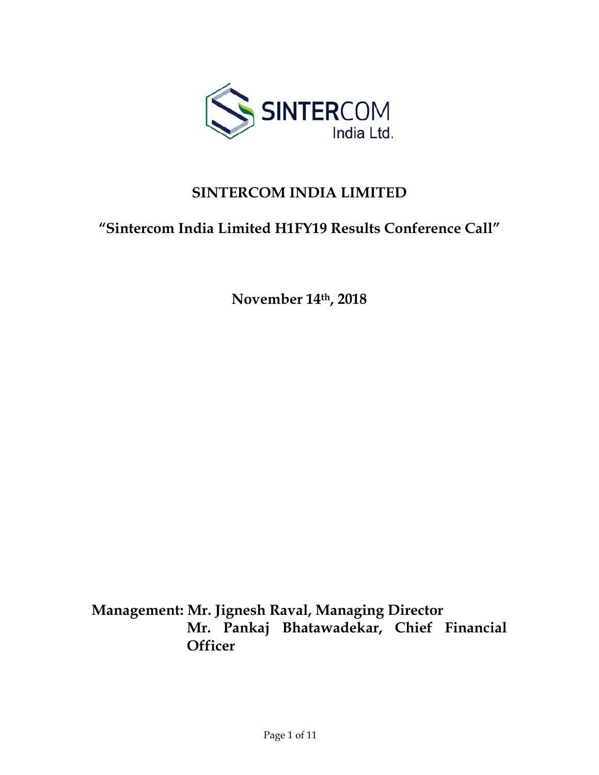

# **SINTERCOM INDIA LIMITED**

# **"Sintercom India Limited H1FY19 Results Conference Call"**

**November 14th, 2018** 

**Management: Mr. Jignesh Raval, Managing Director Mr. Pankaj Bhatawadekar, Chief Financial Officer**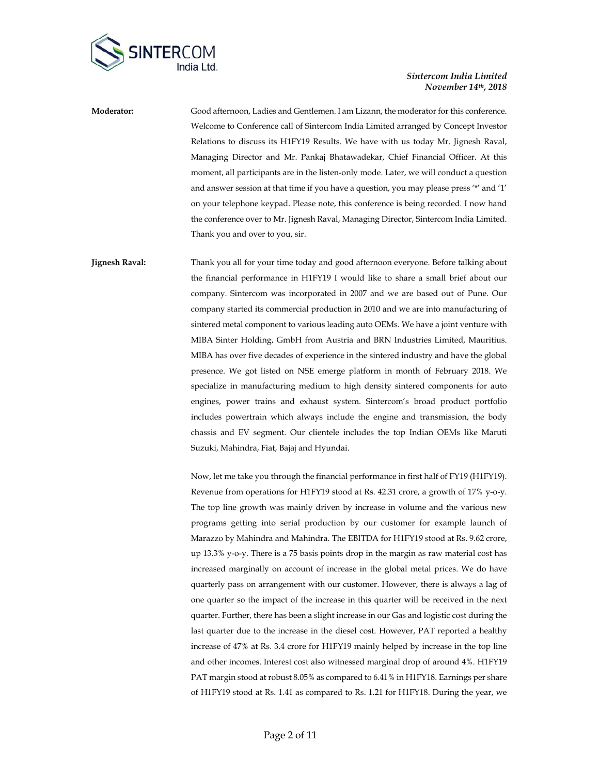

**Moderator:** Good afternoon, Ladies and Gentlemen. I am Lizann, the moderator for this conference. Welcome to Conference call of Sintercom India Limited arranged by Concept Investor Relations to discuss its H1FY19 Results. We have with us today Mr. Jignesh Raval, Managing Director and Mr. Pankaj Bhatawadekar, Chief Financial Officer. At this moment, all participants are in the listen-only mode. Later, we will conduct a question and answer session at that time if you have a question, you may please press '\*' and '1' on your telephone keypad. Please note, this conference is being recorded. I now hand the conference over to Mr. Jignesh Raval, Managing Director, Sintercom India Limited. Thank you and over to you, sir.

**Jignesh Raval:** Thank you all for your time today and good afternoon everyone. Before talking about the financial performance in H1FY19 I would like to share a small brief about our company. Sintercom was incorporated in 2007 and we are based out of Pune. Our company started its commercial production in 2010 and we are into manufacturing of sintered metal component to various leading auto OEMs. We have a joint venture with MIBA Sinter Holding, GmbH from Austria and BRN Industries Limited, Mauritius. MIBA has over five decades of experience in the sintered industry and have the global presence. We got listed on NSE emerge platform in month of February 2018. We specialize in manufacturing medium to high density sintered components for auto engines, power trains and exhaust system. Sintercom's broad product portfolio includes powertrain which always include the engine and transmission, the body chassis and EV segment. Our clientele includes the top Indian OEMs like Maruti Suzuki, Mahindra, Fiat, Bajaj and Hyundai.

> Now, let me take you through the financial performance in first half of FY19 (H1FY19). Revenue from operations for H1FY19 stood at Rs. 42.31 crore, a growth of 17% y-o-y. The top line growth was mainly driven by increase in volume and the various new programs getting into serial production by our customer for example launch of Marazzo by Mahindra and Mahindra. The EBITDA for H1FY19 stood at Rs. 9.62 crore, up 13.3% y-o-y. There is a 75 basis points drop in the margin as raw material cost has increased marginally on account of increase in the global metal prices. We do have quarterly pass on arrangement with our customer. However, there is always a lag of one quarter so the impact of the increase in this quarter will be received in the next quarter. Further, there has been a slight increase in our Gas and logistic cost during the last quarter due to the increase in the diesel cost. However, PAT reported a healthy increase of 47% at Rs. 3.4 crore for H1FY19 mainly helped by increase in the top line and other incomes. Interest cost also witnessed marginal drop of around 4%. H1FY19 PAT margin stood at robust 8.05% as compared to 6.41% in H1FY18. Earnings per share of H1FY19 stood at Rs. 1.41 as compared to Rs. 1.21 for H1FY18. During the year, we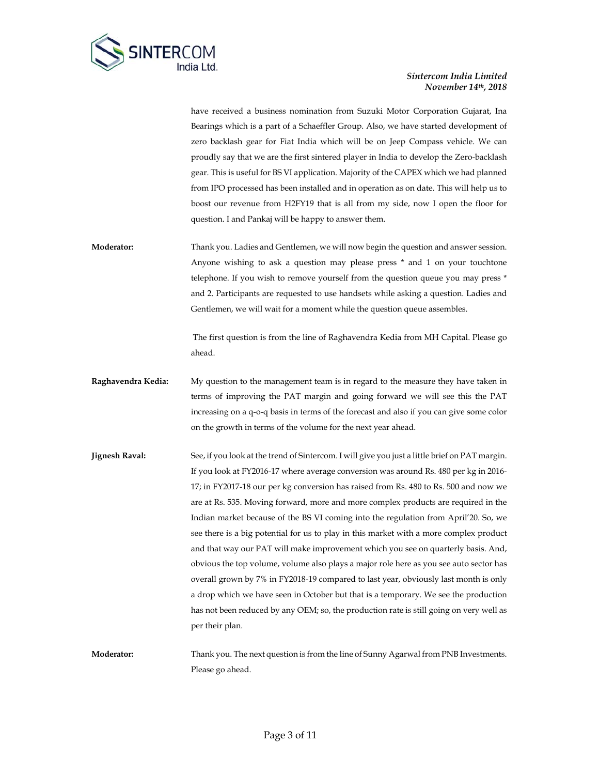

have received a business nomination from Suzuki Motor Corporation Gujarat, Ina Bearings which is a part of a Schaeffler Group. Also, we have started development of zero backlash gear for Fiat India which will be on Jeep Compass vehicle. We can proudly say that we are the first sintered player in India to develop the Zero-backlash gear. This is useful for BS VI application. Majority of the CAPEX which we had planned from IPO processed has been installed and in operation as on date. This will help us to boost our revenue from H2FY19 that is all from my side, now I open the floor for question. I and Pankaj will be happy to answer them.

**Moderator:** Thank you. Ladies and Gentlemen, we will now begin the question and answer session. Anyone wishing to ask a question may please press \* and 1 on your touchtone telephone. If you wish to remove yourself from the question queue you may press \* and 2. Participants are requested to use handsets while asking a question. Ladies and Gentlemen, we will wait for a moment while the question queue assembles.

> The first question is from the line of Raghavendra Kedia from MH Capital. Please go ahead.

- **Raghavendra Kedia:** My question to the management team is in regard to the measure they have taken in terms of improving the PAT margin and going forward we will see this the PAT increasing on a q-o-q basis in terms of the forecast and also if you can give some color on the growth in terms of the volume for the next year ahead.
- **Jignesh Raval:** See, if you look at the trend of Sintercom. I will give you just a little brief on PAT margin. If you look at FY2016-17 where average conversion was around Rs. 480 per kg in 2016- 17; in FY2017-18 our per kg conversion has raised from Rs. 480 to Rs. 500 and now we are at Rs. 535. Moving forward, more and more complex products are required in the Indian market because of the BS VI coming into the regulation from April'20. So, we see there is a big potential for us to play in this market with a more complex product and that way our PAT will make improvement which you see on quarterly basis. And, obvious the top volume, volume also plays a major role here as you see auto sector has overall grown by 7% in FY2018-19 compared to last year, obviously last month is only a drop which we have seen in October but that is a temporary. We see the production has not been reduced by any OEM; so, the production rate is still going on very well as per their plan.
- **Moderator:** Thank you. The next question is from the line of Sunny Agarwal from PNB Investments. Please go ahead.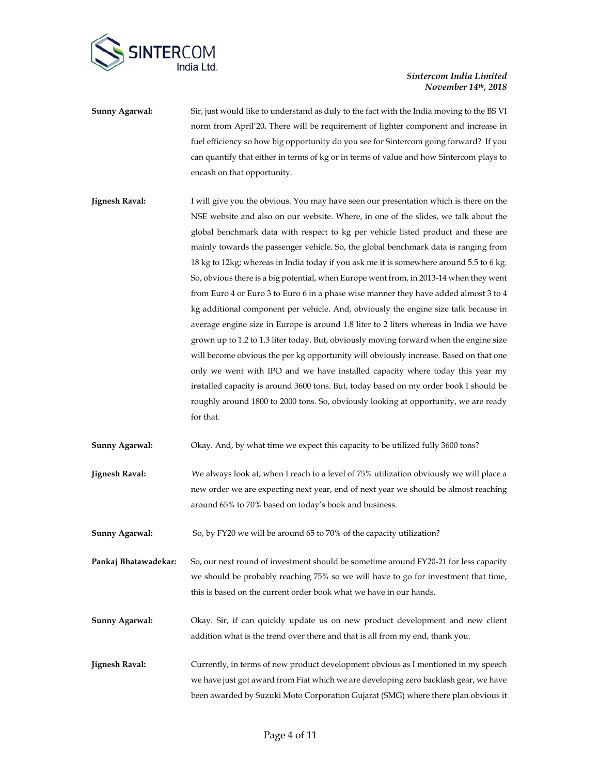

- **Sunny Agarwal:** Sir, just would like to understand as duly to the fact with the India moving to the BS VI norm from April'20**.** There will be requirement of lighter component and increase in fuel efficiency so how big opportunity do you see for Sintercom going forward? If you can quantify that either in terms of kg or in terms of value and how Sintercom plays to encash on that opportunity.
- **Jignesh Raval:** I will give you the obvious. You may have seen our presentation which is there on the NSE website and also on our website. Where, in one of the slides, we talk about the global benchmark data with respect to kg per vehicle listed product and these are mainly towards the passenger vehicle. So, the global benchmark data is ranging from 18 kg to 12kg; whereas in India today if you ask me it is somewhere around 5.5 to 6 kg. So, obvious there is a big potential, when Europe went from, in 2013-14 when they went from Euro 4 or Euro 3 to Euro 6 in a phase wise manner they have added almost 3 to 4 kg additional component per vehicle. And, obviously the engine size talk because in average engine size in Europe is around 1.8 liter to 2 liters whereas in India we have grown up to 1.2 to 1.3 liter today. But, obviously moving forward when the engine size will become obvious the per kg opportunity will obviously increase. Based on that one only we went with IPO and we have installed capacity where today this year my installed capacity is around 3600 tons. But, today based on my order book I should be roughly around 1800 to 2000 tons. So, obviously looking at opportunity, we are ready for that.
- **Sunny Agarwal:** Okay. And, by what time we expect this capacity to be utilized fully 3600 tons?
- **Jignesh Raval:** We always look at, when I reach to a level of 75% utilization obviously we will place a new order we are expecting next year, end of next year we should be almost reaching around 65% to 70% based on today's book and business.
- **Sunny Agarwal:** So, by FY20 we will be around 65 to 70% of the capacity utilization?
- **Pankaj Bhatawadekar:** So, our next round of investment should be sometime around FY20-21 for less capacity we should be probably reaching 75% so we will have to go for investment that time, this is based on the current order book what we have in our hands.
- **Sunny Agarwal:** Okay. Sir, if can quickly update us on new product development and new client addition what is the trend over there and that is all from my end, thank you.
- **Jignesh Raval:** Currently, in terms of new product development obvious as I mentioned in my speech we have just got award from Fiat which we are developing zero backlash gear, we have been awarded by Suzuki Moto Corporation Gujarat (SMG) where there plan obvious it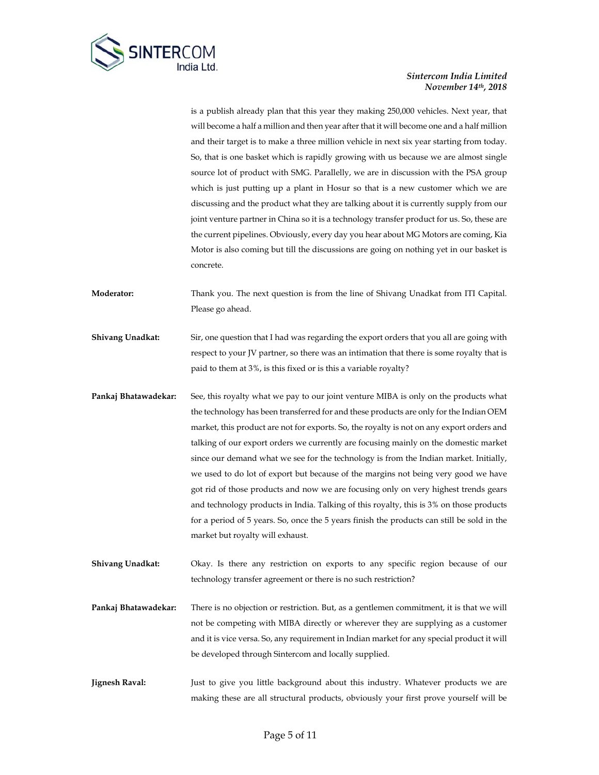

is a publish already plan that this year they making 250,000 vehicles. Next year, that will become a half a million and then year after that it will become one and a half million and their target is to make a three million vehicle in next six year starting from today. So, that is one basket which is rapidly growing with us because we are almost single source lot of product with SMG. Parallelly, we are in discussion with the PSA group which is just putting up a plant in Hosur so that is a new customer which we are discussing and the product what they are talking about it is currently supply from our joint venture partner in China so it is a technology transfer product for us. So, these are the current pipelines. Obviously, every day you hear about MG Motors are coming, Kia Motor is also coming but till the discussions are going on nothing yet in our basket is concrete.

**Moderator:** Thank you. The next question is from the line of Shivang Unadkat from ITI Capital. Please go ahead.

**Shivang Unadkat:** Sir, one question that I had was regarding the export orders that you all are going with respect to your JV partner, so there was an intimation that there is some royalty that is paid to them at 3%, is this fixed or is this a variable royalty?

- **Pankaj Bhatawadekar:** See, this royalty what we pay to our joint venture MIBA is only on the products what the technology has been transferred for and these products are only for the Indian OEM market, this product are not for exports. So, the royalty is not on any export orders and talking of our export orders we currently are focusing mainly on the domestic market since our demand what we see for the technology is from the Indian market. Initially, we used to do lot of export but because of the margins not being very good we have got rid of those products and now we are focusing only on very highest trends gears and technology products in India. Talking of this royalty, this is 3% on those products for a period of 5 years. So, once the 5 years finish the products can still be sold in the market but royalty will exhaust.
- **Shivang Unadkat:** Okay. Is there any restriction on exports to any specific region because of our technology transfer agreement or there is no such restriction?
- **Pankaj Bhatawadekar:** There is no objection or restriction. But, as a gentlemen commitment, it is that we will not be competing with MIBA directly or wherever they are supplying as a customer and it is vice versa. So, any requirement in Indian market for any special product it will be developed through Sintercom and locally supplied.
- **Jignesh Raval:** Just to give you little background about this industry. Whatever products we are making these are all structural products, obviously your first prove yourself will be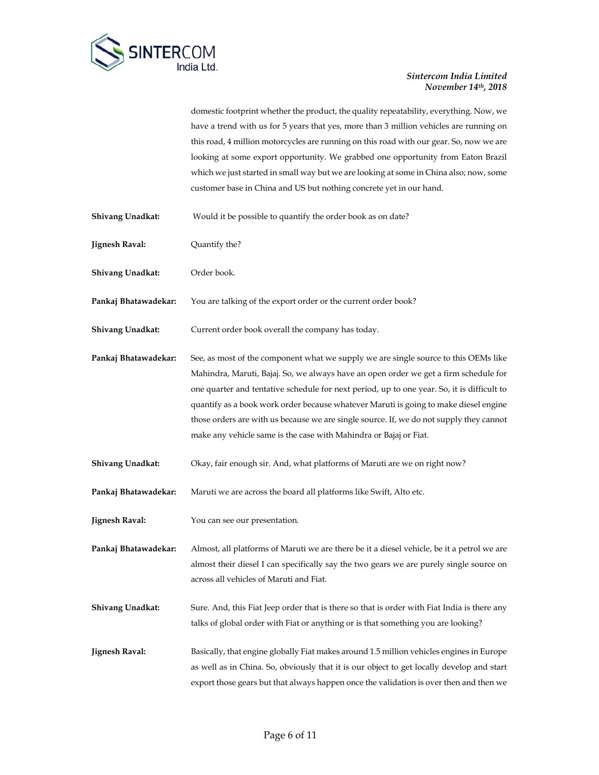

domestic footprint whether the product, the quality repeatability, everything. Now, we have a trend with us for 5 years that yes, more than 3 million vehicles are running on this road, 4 million motorcycles are running on this road with our gear. So, now we are looking at some export opportunity. We grabbed one opportunity from Eaton Brazil which we just started in small way but we are looking at some in China also; now, some customer base in China and US but nothing concrete yet in our hand.

- **Shivang Unadkat:** Would it be possible to quantify the order book as on date?
- **Jignesh Raval:** Quantify the?

**Shivang Unadkat:** Order book.

**Pankaj Bhatawadekar:** You are talking of the export order or the current order book?

**Shivang Unadkat:** Current order book overall the company has today.

**Pankaj Bhatawadekar:** See, as most of the component what we supply we are single source to this OEMs like Mahindra, Maruti, Bajaj. So, we always have an open order we get a firm schedule for one quarter and tentative schedule for next period, up to one year. So, it is difficult to quantify as a book work order because whatever Maruti is going to make diesel engine those orders are with us because we are single source. If, we do not supply they cannot make any vehicle same is the case with Mahindra or Bajaj or Fiat.

- **Shivang Unadkat:** Okay, fair enough sir. And, what platforms of Maruti are we on right now?
- **Pankaj Bhatawadekar:** Maruti we are across the board all platforms like Swift, Alto etc.
- **Jignesh Raval:** You can see our presentation.

**Pankaj Bhatawadekar:** Almost, all platforms of Maruti we are there be it a diesel vehicle, be it a petrol we are almost their diesel I can specifically say the two gears we are purely single source on across all vehicles of Maruti and Fiat.

- **Shivang Unadkat:** Sure. And, this Fiat Jeep order that is there so that is order with Fiat India is there any talks of global order with Fiat or anything or is that something you are looking?
- **Jignesh Raval:** Basically, that engine globally Fiat makes around 1.5 million vehicles engines in Europe as well as in China. So, obviously that it is our object to get locally develop and start export those gears but that always happen once the validation is over then and then we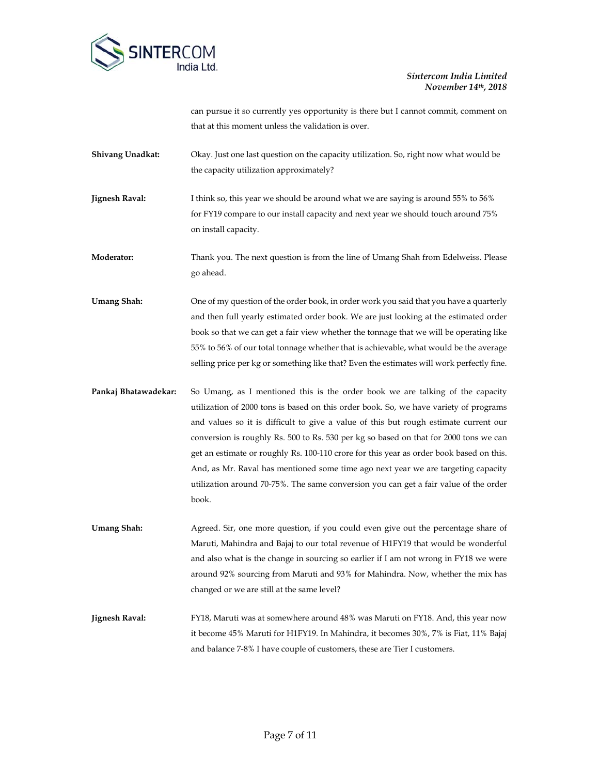

can pursue it so currently yes opportunity is there but I cannot commit, comment on that at this moment unless the validation is over.

**Shivang Unadkat:** Okay. Just one last question on the capacity utilization. So, right now what would be the capacity utilization approximately?

**Jignesh Raval:** I think so, this year we should be around what we are saying is around 55% to 56% for FY19 compare to our install capacity and next year we should touch around 75% on install capacity.

**Moderator:** Thank you. The next question is from the line of Umang Shah from Edelweiss. Please go ahead.

**Umang Shah:** One of my question of the order book, in order work you said that you have a quarterly and then full yearly estimated order book. We are just looking at the estimated order book so that we can get a fair view whether the tonnage that we will be operating like 55% to 56% of our total tonnage whether that is achievable, what would be the average selling price per kg or something like that? Even the estimates will work perfectly fine.

**Pankaj Bhatawadekar:** So Umang, as I mentioned this is the order book we are talking of the capacity utilization of 2000 tons is based on this order book. So, we have variety of programs and values so it is difficult to give a value of this but rough estimate current our conversion is roughly Rs. 500 to Rs. 530 per kg so based on that for 2000 tons we can get an estimate or roughly Rs. 100-110 crore for this year as order book based on this. And, as Mr. Raval has mentioned some time ago next year we are targeting capacity utilization around 70-75%. The same conversion you can get a fair value of the order book.

Umang Shah: Agreed. Sir, one more question, if you could even give out the percentage share of Maruti, Mahindra and Bajaj to our total revenue of H1FY19 that would be wonderful and also what is the change in sourcing so earlier if I am not wrong in FY18 we were around 92% sourcing from Maruti and 93% for Mahindra. Now, whether the mix has changed or we are still at the same level?

**Jignesh Raval:** FY18, Maruti was at somewhere around 48% was Maruti on FY18. And, this year now it become 45% Maruti for H1FY19. In Mahindra, it becomes 30%, 7% is Fiat, 11% Bajaj and balance 7-8% I have couple of customers, these are Tier I customers.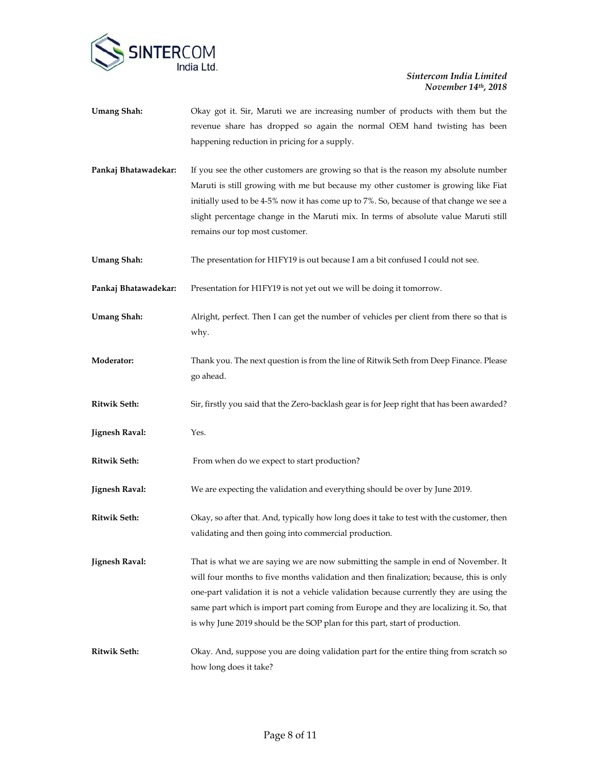

| <b>Umang Shah:</b>    | Okay got it. Sir, Maruti we are increasing number of products with them but the<br>revenue share has dropped so again the normal OEM hand twisting has been<br>happening reduction in pricing for a supply.                                                                                                                                                                                                                                       |
|-----------------------|---------------------------------------------------------------------------------------------------------------------------------------------------------------------------------------------------------------------------------------------------------------------------------------------------------------------------------------------------------------------------------------------------------------------------------------------------|
| Pankaj Bhatawadekar:  | If you see the other customers are growing so that is the reason my absolute number<br>Maruti is still growing with me but because my other customer is growing like Fiat<br>initially used to be 4-5% now it has come up to 7%. So, because of that change we see a<br>slight percentage change in the Maruti mix. In terms of absolute value Maruti still<br>remains our top most customer.                                                     |
| <b>Umang Shah:</b>    | The presentation for H1FY19 is out because I am a bit confused I could not see.                                                                                                                                                                                                                                                                                                                                                                   |
| Pankaj Bhatawadekar:  | Presentation for H1FY19 is not yet out we will be doing it tomorrow.                                                                                                                                                                                                                                                                                                                                                                              |
| <b>Umang Shah:</b>    | Alright, perfect. Then I can get the number of vehicles per client from there so that is<br>why.                                                                                                                                                                                                                                                                                                                                                  |
| Moderator:            | Thank you. The next question is from the line of Ritwik Seth from Deep Finance. Please<br>go ahead.                                                                                                                                                                                                                                                                                                                                               |
| <b>Ritwik Seth:</b>   | Sir, firstly you said that the Zero-backlash gear is for Jeep right that has been awarded?                                                                                                                                                                                                                                                                                                                                                        |
| <b>Jignesh Raval:</b> | Yes.                                                                                                                                                                                                                                                                                                                                                                                                                                              |
| <b>Ritwik Seth:</b>   | From when do we expect to start production?                                                                                                                                                                                                                                                                                                                                                                                                       |
| <b>Jignesh Raval:</b> | We are expecting the validation and everything should be over by June 2019.                                                                                                                                                                                                                                                                                                                                                                       |
| <b>Ritwik Seth:</b>   | Okay, so after that. And, typically how long does it take to test with the customer, then<br>validating and then going into commercial production.                                                                                                                                                                                                                                                                                                |
| <b>Jignesh Raval:</b> | That is what we are saying we are now submitting the sample in end of November. It<br>will four months to five months validation and then finalization; because, this is only<br>one-part validation it is not a vehicle validation because currently they are using the<br>same part which is import part coming from Europe and they are localizing it. So, that<br>is why June 2019 should be the SOP plan for this part, start of production. |
| <b>Ritwik Seth:</b>   | Okay. And, suppose you are doing validation part for the entire thing from scratch so<br>how long does it take?                                                                                                                                                                                                                                                                                                                                   |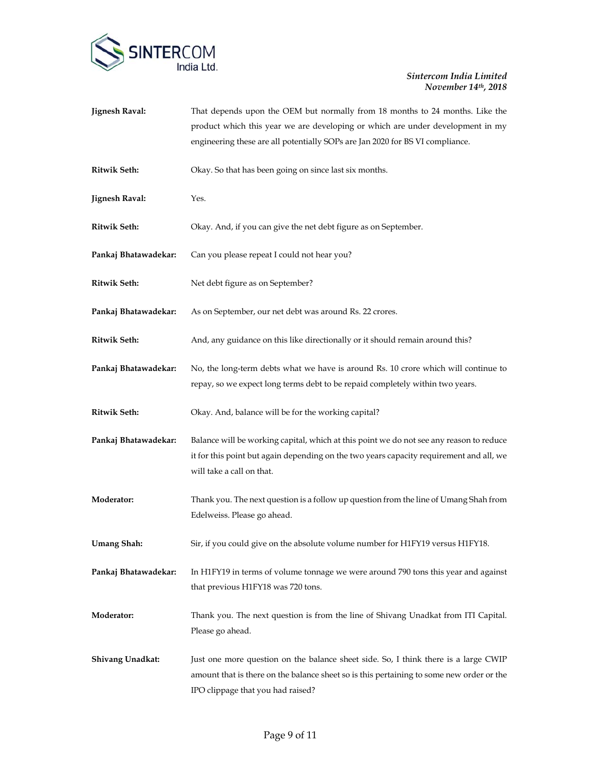

| <b>Jignesh Raval:</b> | That depends upon the OEM but normally from 18 months to 24 months. Like the<br>product which this year we are developing or which are under development in my<br>engineering these are all potentially SOPs are Jan 2020 for BS VI compliance. |
|-----------------------|-------------------------------------------------------------------------------------------------------------------------------------------------------------------------------------------------------------------------------------------------|
| <b>Ritwik Seth:</b>   | Okay. So that has been going on since last six months.                                                                                                                                                                                          |
| <b>Jignesh Raval:</b> | Yes.                                                                                                                                                                                                                                            |
| <b>Ritwik Seth:</b>   | Okay. And, if you can give the net debt figure as on September.                                                                                                                                                                                 |
| Pankaj Bhatawadekar:  | Can you please repeat I could not hear you?                                                                                                                                                                                                     |
| <b>Ritwik Seth:</b>   | Net debt figure as on September?                                                                                                                                                                                                                |
| Pankaj Bhatawadekar:  | As on September, our net debt was around Rs. 22 crores.                                                                                                                                                                                         |
| <b>Ritwik Seth:</b>   | And, any guidance on this like directionally or it should remain around this?                                                                                                                                                                   |
| Pankaj Bhatawadekar:  | No, the long-term debts what we have is around Rs. 10 crore which will continue to<br>repay, so we expect long terms debt to be repaid completely within two years.                                                                             |
| <b>Ritwik Seth:</b>   | Okay. And, balance will be for the working capital?                                                                                                                                                                                             |
| Pankaj Bhatawadekar:  | Balance will be working capital, which at this point we do not see any reason to reduce<br>it for this point but again depending on the two years capacity requirement and all, we<br>will take a call on that.                                 |
| Moderator:            | Thank you. The next question is a follow up question from the line of Umang Shah from<br>Edelweiss. Please go ahead.                                                                                                                            |
| <b>Umang Shah:</b>    | Sir, if you could give on the absolute volume number for H1FY19 versus H1FY18.                                                                                                                                                                  |
| Pankaj Bhatawadekar:  | In H1FY19 in terms of volume tonnage we were around 790 tons this year and against<br>that previous H1FY18 was 720 tons.                                                                                                                        |
| Moderator:            | Thank you. The next question is from the line of Shivang Unadkat from ITI Capital.<br>Please go ahead.                                                                                                                                          |
| Shivang Unadkat:      | Just one more question on the balance sheet side. So, I think there is a large CWIP<br>amount that is there on the balance sheet so is this pertaining to some new order or the<br>IPO clippage that you had raised?                            |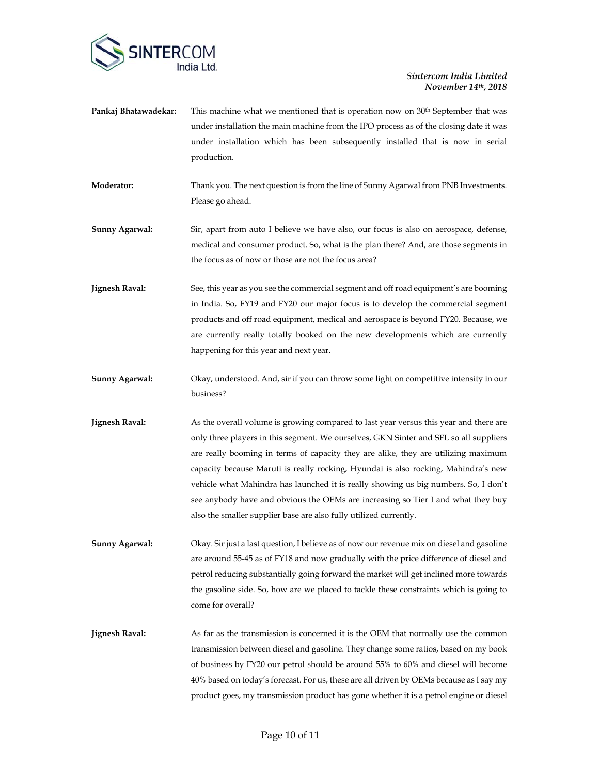

| Pankaj Bhatawadekar:  | This machine what we mentioned that is operation now on $30th$ September that was<br>under installation the main machine from the IPO process as of the closing date it was<br>under installation which has been subsequently installed that is now in serial<br>production.                                                                       |
|-----------------------|----------------------------------------------------------------------------------------------------------------------------------------------------------------------------------------------------------------------------------------------------------------------------------------------------------------------------------------------------|
| Moderator:            | Thank you. The next question is from the line of Sunny Agarwal from PNB Investments.<br>Please go ahead.                                                                                                                                                                                                                                           |
| Sunny Agarwal:        | Sir, apart from auto I believe we have also, our focus is also on aerospace, defense,<br>medical and consumer product. So, what is the plan there? And, are those segments in<br>the focus as of now or those are not the focus area?                                                                                                              |
| <b>Jignesh Raval:</b> | See, this year as you see the commercial segment and off road equipment's are booming<br>in India. So, FY19 and FY20 our major focus is to develop the commercial segment<br>products and off road equipment, medical and aerospace is beyond FY20. Because, we<br>are currently really totally booked on the new developments which are currently |

**Sunny Agarwal:** Okay, understood. And, sir if you can throw some light on competitive intensity in our business?

happening for this year and next year.

- **Jignesh Raval:** As the overall volume is growing compared to last year versus this year and there are only three players in this segment. We ourselves, GKN Sinter and SFL so all suppliers are really booming in terms of capacity they are alike, they are utilizing maximum capacity because Maruti is really rocking, Hyundai is also rocking, Mahindra's new vehicle what Mahindra has launched it is really showing us big numbers. So, I don't see anybody have and obvious the OEMs are increasing so Tier I and what they buy also the smaller supplier base are also fully utilized currently.
- **Sunny Agarwal:** Okay. Sir just a last question, I believe as of now our revenue mix on diesel and gasoline are around 55-45 as of FY18 and now gradually with the price difference of diesel and petrol reducing substantially going forward the market will get inclined more towards the gasoline side. So, how are we placed to tackle these constraints which is going to come for overall?
- **Jignesh Raval:** As far as the transmission is concerned it is the OEM that normally use the common transmission between diesel and gasoline. They change some ratios, based on my book of business by FY20 our petrol should be around 55% to 60% and diesel will become 40% based on today's forecast. For us, these are all driven by OEMs because as I say my product goes, my transmission product has gone whether it is a petrol engine or diesel